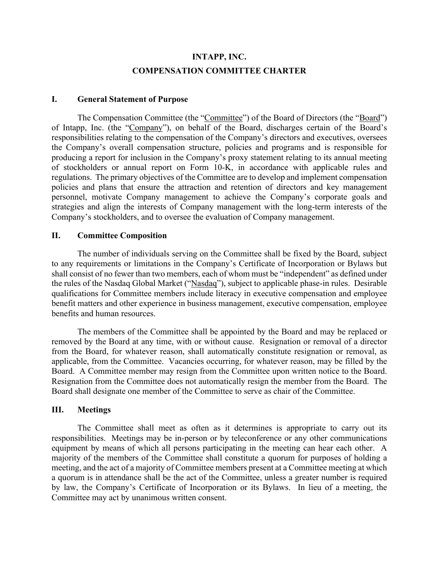# **INTAPP, INC. COMPENSATION COMMITTEE CHARTER**

#### **I. General Statement of Purpose**

The Compensation Committee (the "Committee") of the Board of Directors (the "Board") of Intapp, Inc. (the "Company"), on behalf of the Board, discharges certain of the Board's responsibilities relating to the compensation of the Company's directors and executives, oversees the Company's overall compensation structure, policies and programs and is responsible for producing a report for inclusion in the Company's proxy statement relating to its annual meeting of stockholders or annual report on Form 10-K, in accordance with applicable rules and regulations. The primary objectives of the Committee are to develop and implement compensation policies and plans that ensure the attraction and retention of directors and key management personnel, motivate Company management to achieve the Company's corporate goals and strategies and align the interests of Company management with the long-term interests of the Company's stockholders, and to oversee the evaluation of Company management.

#### **II. Committee Composition**

The number of individuals serving on the Committee shall be fixed by the Board, subject to any requirements or limitations in the Company's Certificate of Incorporation or Bylaws but shall consist of no fewer than two members, each of whom must be "independent" as defined under the rules of the Nasdaq Global Market ("Nasdaq"), subject to applicable phase-in rules. Desirable qualifications for Committee members include literacy in executive compensation and employee benefit matters and other experience in business management, executive compensation, employee benefits and human resources.

The members of the Committee shall be appointed by the Board and may be replaced or removed by the Board at any time, with or without cause. Resignation or removal of a director from the Board, for whatever reason, shall automatically constitute resignation or removal, as applicable, from the Committee. Vacancies occurring, for whatever reason, may be filled by the Board. A Committee member may resign from the Committee upon written notice to the Board. Resignation from the Committee does not automatically resign the member from the Board. The Board shall designate one member of the Committee to serve as chair of the Committee.

#### **III. Meetings**

The Committee shall meet as often as it determines is appropriate to carry out its responsibilities. Meetings may be in-person or by teleconference or any other communications equipment by means of which all persons participating in the meeting can hear each other. A majority of the members of the Committee shall constitute a quorum for purposes of holding a meeting, and the act of a majority of Committee members present at a Committee meeting at which a quorum is in attendance shall be the act of the Committee, unless a greater number is required by law, the Company's Certificate of Incorporation or its Bylaws. In lieu of a meeting, the Committee may act by unanimous written consent.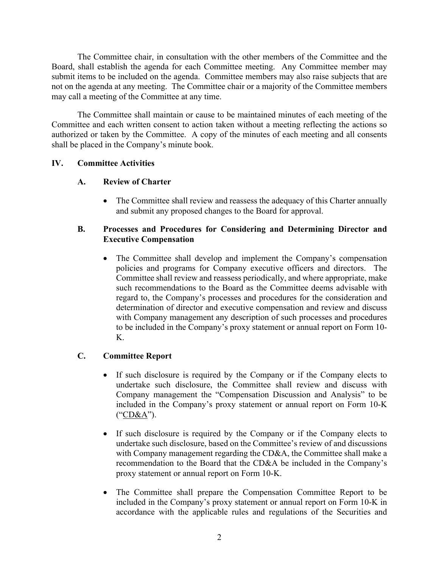The Committee chair, in consultation with the other members of the Committee and the Board, shall establish the agenda for each Committee meeting. Any Committee member may submit items to be included on the agenda. Committee members may also raise subjects that are not on the agenda at any meeting. The Committee chair or a majority of the Committee members may call a meeting of the Committee at any time.

The Committee shall maintain or cause to be maintained minutes of each meeting of the Committee and each written consent to action taken without a meeting reflecting the actions so authorized or taken by the Committee. A copy of the minutes of each meeting and all consents shall be placed in the Company's minute book.

#### **IV. Committee Activities**

## **A. Review of Charter**

• The Committee shall review and reassess the adequacy of this Charter annually and submit any proposed changes to the Board for approval.

#### **B. Processes and Procedures for Considering and Determining Director and Executive Compensation**

• The Committee shall develop and implement the Company's compensation policies and programs for Company executive officers and directors. The Committee shall review and reassess periodically, and where appropriate, make such recommendations to the Board as the Committee deems advisable with regard to, the Company's processes and procedures for the consideration and determination of director and executive compensation and review and discuss with Company management any description of such processes and procedures to be included in the Company's proxy statement or annual report on Form 10- K.

## **C. Committee Report**

- If such disclosure is required by the Company or if the Company elects to undertake such disclosure, the Committee shall review and discuss with Company management the "Compensation Discussion and Analysis" to be included in the Company's proxy statement or annual report on Form 10-K ("CD&A").
- If such disclosure is required by the Company or if the Company elects to undertake such disclosure, based on the Committee's review of and discussions with Company management regarding the CD&A, the Committee shall make a recommendation to the Board that the CD&A be included in the Company's proxy statement or annual report on Form 10-K.
- The Committee shall prepare the Compensation Committee Report to be included in the Company's proxy statement or annual report on Form 10-K in accordance with the applicable rules and regulations of the Securities and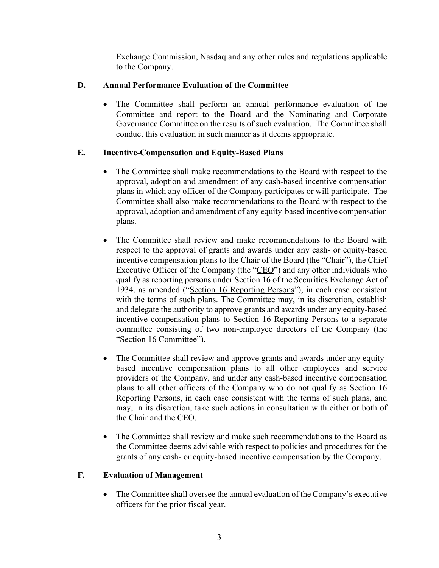Exchange Commission, Nasdaq and any other rules and regulations applicable to the Company.

# **D. Annual Performance Evaluation of the Committee**

• The Committee shall perform an annual performance evaluation of the Committee and report to the Board and the Nominating and Corporate Governance Committee on the results of such evaluation. The Committee shall conduct this evaluation in such manner as it deems appropriate.

# **E. Incentive-Compensation and Equity-Based Plans**

- The Committee shall make recommendations to the Board with respect to the approval, adoption and amendment of any cash-based incentive compensation plans in which any officer of the Company participates or will participate. The Committee shall also make recommendations to the Board with respect to the approval, adoption and amendment of any equity-based incentive compensation plans.
- The Committee shall review and make recommendations to the Board with respect to the approval of grants and awards under any cash- or equity-based incentive compensation plans to the Chair of the Board (the "Chair"), the Chief Executive Officer of the Company (the "CEO") and any other individuals who qualify as reporting persons under Section 16 of the Securities Exchange Act of 1934, as amended ("Section 16 Reporting Persons"), in each case consistent with the terms of such plans. The Committee may, in its discretion, establish and delegate the authority to approve grants and awards under any equity-based incentive compensation plans to Section 16 Reporting Persons to a separate committee consisting of two non-employee directors of the Company (the "Section 16 Committee").
- The Committee shall review and approve grants and awards under any equitybased incentive compensation plans to all other employees and service providers of the Company, and under any cash-based incentive compensation plans to all other officers of the Company who do not qualify as Section 16 Reporting Persons, in each case consistent with the terms of such plans, and may, in its discretion, take such actions in consultation with either or both of the Chair and the CEO.
- The Committee shall review and make such recommendations to the Board as the Committee deems advisable with respect to policies and procedures for the grants of any cash- or equity-based incentive compensation by the Company.

## **F. Evaluation of Management**

• The Committee shall oversee the annual evaluation of the Company's executive officers for the prior fiscal year.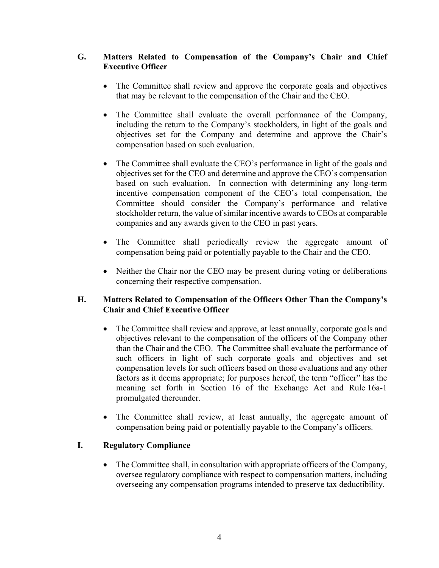## **G. Matters Related to Compensation of the Company's Chair and Chief Executive Officer**

- The Committee shall review and approve the corporate goals and objectives that may be relevant to the compensation of the Chair and the CEO.
- The Committee shall evaluate the overall performance of the Company, including the return to the Company's stockholders, in light of the goals and objectives set for the Company and determine and approve the Chair's compensation based on such evaluation.
- The Committee shall evaluate the CEO's performance in light of the goals and objectives set for the CEO and determine and approve the CEO's compensation based on such evaluation. In connection with determining any long-term incentive compensation component of the CEO's total compensation, the Committee should consider the Company's performance and relative stockholder return, the value of similar incentive awards to CEOs at comparable companies and any awards given to the CEO in past years.
- The Committee shall periodically review the aggregate amount of compensation being paid or potentially payable to the Chair and the CEO.
- Neither the Chair nor the CEO may be present during voting or deliberations concerning their respective compensation.

## **H. Matters Related to Compensation of the Officers Other Than the Company's Chair and Chief Executive Officer**

- The Committee shall review and approve, at least annually, corporate goals and objectives relevant to the compensation of the officers of the Company other than the Chair and the CEO. The Committee shall evaluate the performance of such officers in light of such corporate goals and objectives and set compensation levels for such officers based on those evaluations and any other factors as it deems appropriate; for purposes hereof, the term "officer" has the meaning set forth in Section 16 of the Exchange Act and Rule 16a-1 promulgated thereunder.
- The Committee shall review, at least annually, the aggregate amount of compensation being paid or potentially payable to the Company's officers.

## **I. Regulatory Compliance**

• The Committee shall, in consultation with appropriate officers of the Company, oversee regulatory compliance with respect to compensation matters, including overseeing any compensation programs intended to preserve tax deductibility.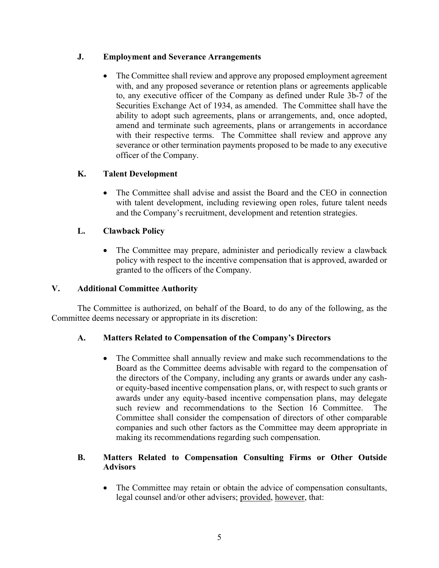#### **J. Employment and Severance Arrangements**

The Committee shall review and approve any proposed employment agreement with, and any proposed severance or retention plans or agreements applicable to, any executive officer of the Company as defined under Rule 3b-7 of the Securities Exchange Act of 1934, as amended. The Committee shall have the ability to adopt such agreements, plans or arrangements, and, once adopted, amend and terminate such agreements, plans or arrangements in accordance with their respective terms. The Committee shall review and approve any severance or other termination payments proposed to be made to any executive officer of the Company.

## **K. Talent Development**

• The Committee shall advise and assist the Board and the CEO in connection with talent development, including reviewing open roles, future talent needs and the Company's recruitment, development and retention strategies.

# **L. Clawback Policy**

The Committee may prepare, administer and periodically review a clawback policy with respect to the incentive compensation that is approved, awarded or granted to the officers of the Company.

## **V. Additional Committee Authority**

The Committee is authorized, on behalf of the Board, to do any of the following, as the Committee deems necessary or appropriate in its discretion:

## **A. Matters Related to Compensation of the Company's Directors**

• The Committee shall annually review and make such recommendations to the Board as the Committee deems advisable with regard to the compensation of the directors of the Company, including any grants or awards under any cashor equity-based incentive compensation plans, or, with respect to such grants or awards under any equity-based incentive compensation plans, may delegate such review and recommendations to the Section 16 Committee. The Committee shall consider the compensation of directors of other comparable companies and such other factors as the Committee may deem appropriate in making its recommendations regarding such compensation.

# **B. Matters Related to Compensation Consulting Firms or Other Outside Advisors**

• The Committee may retain or obtain the advice of compensation consultants, legal counsel and/or other advisers; provided, however, that: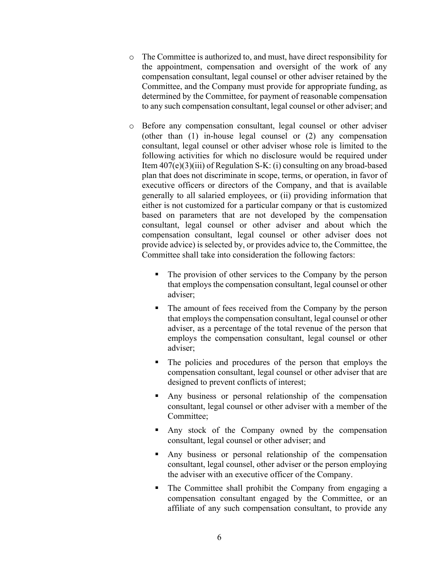- o The Committee is authorized to, and must, have direct responsibility for the appointment, compensation and oversight of the work of any compensation consultant, legal counsel or other adviser retained by the Committee, and the Company must provide for appropriate funding, as determined by the Committee, for payment of reasonable compensation to any such compensation consultant, legal counsel or other adviser; and
- o Before any compensation consultant, legal counsel or other adviser (other than (1) in-house legal counsel or (2) any compensation consultant, legal counsel or other adviser whose role is limited to the following activities for which no disclosure would be required under Item 407(e)(3)(iii) of Regulation S-K: (i) consulting on any broad-based plan that does not discriminate in scope, terms, or operation, in favor of executive officers or directors of the Company, and that is available generally to all salaried employees, or (ii) providing information that either is not customized for a particular company or that is customized based on parameters that are not developed by the compensation consultant, legal counsel or other adviser and about which the compensation consultant, legal counsel or other adviser does not provide advice) is selected by, or provides advice to, the Committee, the Committee shall take into consideration the following factors:
	- The provision of other services to the Company by the person that employs the compensation consultant, legal counsel or other adviser;
	- The amount of fees received from the Company by the person that employs the compensation consultant, legal counsel or other adviser, as a percentage of the total revenue of the person that employs the compensation consultant, legal counsel or other adviser;
	- The policies and procedures of the person that employs the compensation consultant, legal counsel or other adviser that are designed to prevent conflicts of interest;
	- § Any business or personal relationship of the compensation consultant, legal counsel or other adviser with a member of the Committee;
	- Any stock of the Company owned by the compensation consultant, legal counsel or other adviser; and
	- § Any business or personal relationship of the compensation consultant, legal counsel, other adviser or the person employing the adviser with an executive officer of the Company.
	- The Committee shall prohibit the Company from engaging a compensation consultant engaged by the Committee, or an affiliate of any such compensation consultant, to provide any